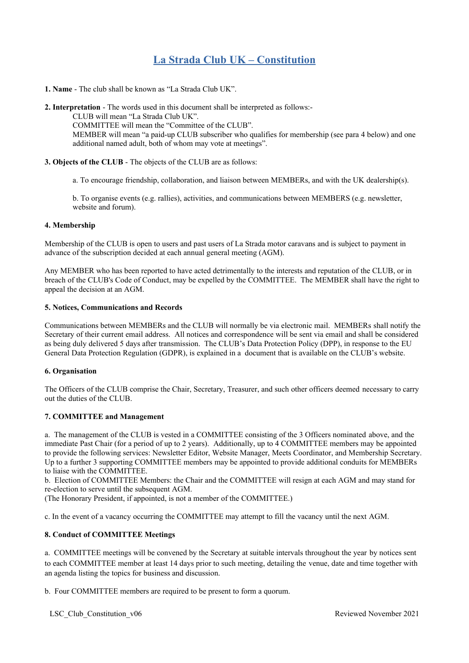# **La Strada Club UK – Constitution**

**1. Name** - The club shall be known as "La Strada Club UK".

**2. Interpretation** - The words used in this document shall be interpreted as follows:-

CLUB will mean "La Strada Club UK".

COMMITTEE will mean the "Committee of the CLUB".

MEMBER will mean "a paid-up CLUB subscriber who qualifies for membership (see para 4 below) and one additional named adult, both of whom may vote at meetings".

# **3. Objects of the CLUB** - The objects of the CLUB are as follows:

a. To encourage friendship, collaboration, and liaison between MEMBERs, and with the UK dealership(s).

b. To organise events (e.g. rallies), activities, and communications between MEMBERS (e.g. newsletter, website and forum).

#### **4. Membership**

Membership of the CLUB is open to users and past users of La Strada motor caravans and is subject to payment in advance of the subscription decided at each annual general meeting (AGM).

Any MEMBER who has been reported to have acted detrimentally to the interests and reputation of the CLUB, or in breach of the CLUB's Code of Conduct, may be expelled by the COMMITTEE. The MEMBER shall have the right to appeal the decision at an AGM.

## **5. Notices, Communications and Records**

Communications between MEMBERs and the CLUB will normally be via electronic mail. MEMBERs shall notify the Secretary of their current email address. All notices and correspondence will be sent via email and shall be considered as being duly delivered 5 days after transmission. The CLUB's Data Protection Policy (DPP), in response to the EU General Data Protection Regulation (GDPR), is explained in a document that is available on the CLUB's website.

# **6. Organisation**

The Officers of the CLUB comprise the Chair, Secretary, Treasurer, and such other officers deemed necessary to carry out the duties of the CLUB.

# **7. COMMITTEE and Management**

a. The management of the CLUB is vested in a COMMITTEE consisting of the 3 Officers nominated above, and the immediate Past Chair (for a period of up to 2 years). Additionally, up to 4 COMMITTEE members may be appointed to provide the following services: Newsletter Editor, Website Manager, Meets Coordinator, and Membership Secretary. Up to a further 3 supporting COMMITTEE members may be appointed to provide additional conduits for MEMBERs to liaise with the COMMITTEE.

b. Election of COMMITTEE Members: the Chair and the COMMITTEE will resign at each AGM and may stand for re-election to serve until the subsequent AGM.

(The Honorary President, if appointed, is not a member of the COMMITTEE.)

c. In the event of a vacancy occurring the COMMITTEE may attempt to fill the vacancy until the next AGM.

# **8. Conduct of COMMITTEE Meetings**

a. COMMITTEE meetings will be convened by the Secretary at suitable intervals throughout the year by notices sent to each COMMITTEE member at least 14 days prior to such meeting, detailing the venue, date and time together with an agenda listing the topics for business and discussion.

b. Four COMMITTEE members are required to be present to form a quorum.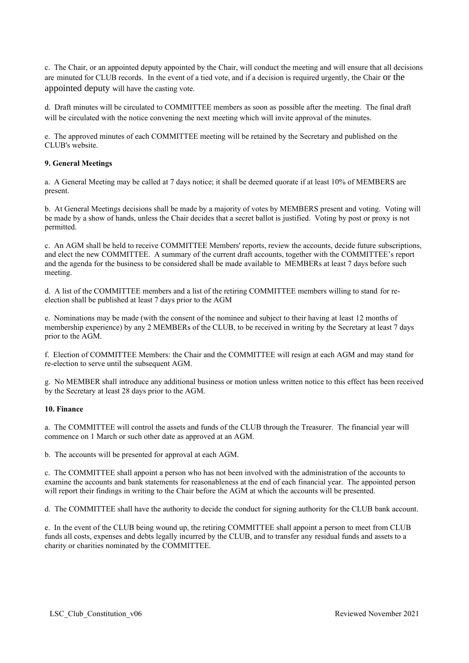c. The Chair, or an appointed deputy appointed by the Chair, will conduct the meeting and will ensure that all decisions are minuted for CLUB records. In the event of a tied vote, and if a decision is required urgently, the Chair or the appointed deputy will have the casting vote.

d. Draft minutes will be circulated to COMMITTEE members as soon as possible after the meeting. The final draft will be circulated with the notice convening the next meeting which will invite approval of the minutes.

e. The approved minutes of each COMMITTEE meeting will be retained by the Secretary and published on the CLUB's website.

#### **9. General Meetings**

a. A General Meeting may be called at 7 days notice; it shall be deemed quorate if at least 10% of MEMBERS are present.

b. At General Meetings decisions shall be made by a majority of votes by MEMBERS present and voting. Voting will be made by a show of hands, unless the Chair decides that a secret ballot is justified. Voting by post or proxy is not permitted.

c. An AGM shall be held to receive COMMITTEE Members' reports, review the accounts, decide future subscriptions, and elect the new COMMITTEE. A summary of the current draft accounts, together with the COMMITTEE's report and the agenda for the business to be considered shall be made available to MEMBERs at least 7 days before such meeting.

d. A list of the COMMITTEE members and a list of the retiring COMMITTEE members willing to stand for reelection shall be published at least 7 days prior to the AGM

e. Nominations may be made (with the consent of the nominee and subject to their having at least 12 months of membership experience) by any 2 MEMBERs of the CLUB, to be received in writing by the Secretary at least 7 days prior to the AGM.

f. Election of COMMITTEE Members: the Chair and the COMMITTEE will resign at each AGM and may stand for re-election to serve until the subsequent AGM.

g. No MEMBER shall introduce any additional business or motion unless written notice to this effect has been received by the Secretary at least 28 days prior to the AGM.

#### **10. Finance**

a. The COMMITTEE will control the assets and funds of the CLUB through the Treasurer. The financial year will commence on 1 March or such other date as approved at an AGM.

b. The accounts will be presented for approval at each AGM.

c. The COMMITTEE shall appoint a person who has not been involved with the administration of the accounts to examine the accounts and bank statements for reasonableness at the end of each financial year. The appointed person will report their findings in writing to the Chair before the AGM at which the accounts will be presented.

d. The COMMITTEE shall have the authority to decide the conduct for signing authority for the CLUB bank account.

e. In the event of the CLUB being wound up, the retiring COMMITTEE shall appoint a person to meet from CLUB funds all costs, expenses and debts legally incurred by the CLUB, and to transfer any residual funds and assets to a charity or charities nominated by the COMMITTEE.